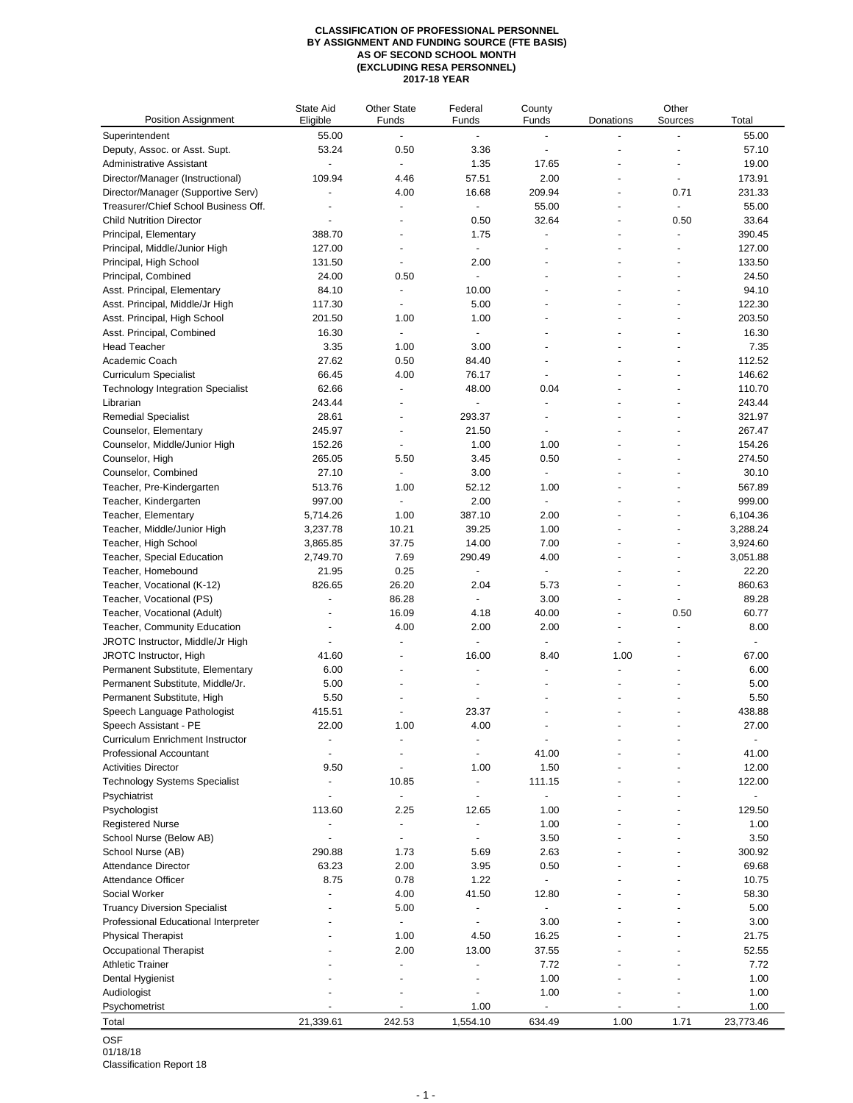## **CLASSIFICATION OF PROFESSIONAL PERSONNEL BY ASSIGNMENT AND FUNDING SOURCE (FTE BASIS) AS OF SECOND SCHOOL MONTH (EXCLUDING RESA PERSONNEL) 2017-18 YEAR**

| Position Assignment                      | State Aid<br>Eligible    | <b>Other State</b><br>Funds | Federal<br>Funds         | County<br>Funds          | Donations                | Other<br>Sources | Total     |
|------------------------------------------|--------------------------|-----------------------------|--------------------------|--------------------------|--------------------------|------------------|-----------|
| Superintendent                           | 55.00                    | ÷,                          | $\overline{a}$           | ÷,                       |                          | ÷,               | 55.00     |
| Deputy, Assoc. or Asst. Supt.            | 53.24                    | 0.50                        | 3.36                     | $\overline{\phantom{a}}$ |                          |                  | 57.10     |
| <b>Administrative Assistant</b>          | $\overline{\phantom{a}}$ |                             | 1.35                     | 17.65                    |                          | ٠                | 19.00     |
| Director/Manager (Instructional)         | 109.94                   | 4.46                        | 57.51                    | 2.00                     |                          | $\blacksquare$   | 173.91    |
| Director/Manager (Supportive Serv)       | ÷,                       | 4.00                        | 16.68                    | 209.94                   |                          | 0.71             | 231.33    |
| Treasurer/Chief School Business Off.     |                          | $\overline{\phantom{a}}$    | $\overline{a}$           | 55.00                    |                          | $\overline{a}$   | 55.00     |
| <b>Child Nutrition Director</b>          |                          |                             | 0.50                     | 32.64                    |                          | 0.50             | 33.64     |
| Principal, Elementary                    | 388.70                   |                             | 1.75                     |                          |                          | ä,               | 390.45    |
| Principal, Middle/Junior High            | 127.00                   | $\overline{a}$              | $\omega$                 | ÷,                       |                          | ä,               | 127.00    |
| Principal, High School                   | 131.50                   | $\overline{\phantom{a}}$    | 2.00                     | ÷                        |                          | ٠                | 133.50    |
| Principal, Combined                      | 24.00                    | 0.50                        | L.                       |                          |                          | ä,               | 24.50     |
| Asst. Principal, Elementary              | 84.10                    |                             | 10.00                    |                          |                          |                  | 94.10     |
| Asst. Principal, Middle/Jr High          | 117.30                   | $\sim$                      | 5.00                     | ÷                        |                          | ÷,               | 122.30    |
| Asst. Principal, High School             | 201.50                   | 1.00                        | 1.00                     |                          |                          | ÷,               | 203.50    |
| Asst. Principal, Combined                | 16.30                    | ÷.                          | $\blacksquare$           |                          |                          |                  | 16.30     |
| <b>Head Teacher</b>                      | 3.35                     | 1.00                        | 3.00                     |                          |                          |                  | 7.35      |
| Academic Coach                           | 27.62                    | 0.50                        | 84.40                    | ÷                        | $\overline{\phantom{a}}$ | ٠                | 112.52    |
| <b>Curriculum Specialist</b>             | 66.45                    | 4.00                        | 76.17                    |                          |                          |                  | 146.62    |
| <b>Technology Integration Specialist</b> | 62.66                    | ÷,                          | 48.00                    | 0.04                     |                          |                  | 110.70    |
| Librarian                                | 243.44                   |                             | ÷,                       | ÷,                       |                          |                  | 243.44    |
| <b>Remedial Specialist</b>               | 28.61                    | ÷                           | 293.37                   | ÷                        |                          | ÷                | 321.97    |
| Counselor, Elementary                    | 245.97                   | $\overline{\phantom{a}}$    | 21.50                    |                          |                          |                  | 267.47    |
| Counselor, Middle/Junior High            | 152.26                   | ä,                          | 1.00                     | 1.00                     |                          | ä,               | 154.26    |
| Counselor, High                          | 265.05                   | 5.50                        | 3.45                     | 0.50                     |                          |                  | 274.50    |
| Counselor, Combined                      | 27.10                    |                             | 3.00                     | $\blacksquare$           |                          | ä,               | 30.10     |
| Teacher, Pre-Kindergarten                | 513.76                   | 1.00                        | 52.12                    | 1.00                     |                          |                  | 567.89    |
| Teacher, Kindergarten                    | 997.00                   | $\overline{\phantom{a}}$    | 2.00                     | $\sim$                   |                          | ÷,               | 999.00    |
| Teacher, Elementary                      | 5,714.26                 | 1.00                        | 387.10                   | 2.00                     |                          | ٠                | 6,104.36  |
| Teacher, Middle/Junior High              | 3,237.78                 | 10.21                       | 39.25                    | 1.00                     |                          | ä,               | 3,288.24  |
| Teacher, High School                     | 3,865.85                 | 37.75                       | 14.00                    | 7.00                     |                          |                  | 3,924.60  |
| Teacher, Special Education               | 2,749.70                 | 7.69                        | 290.49                   | 4.00                     |                          | ä,               | 3,051.88  |
| Teacher, Homebound                       | 21.95                    | 0.25                        | ä,                       | $\blacksquare$           |                          | ÷,               | 22.20     |
| Teacher, Vocational (K-12)               | 826.65                   | 26.20                       | 2.04                     | 5.73                     |                          | ä,               | 860.63    |
| Teacher, Vocational (PS)                 | ÷,                       | 86.28                       | $\blacksquare$           | 3.00                     |                          | ä,               | 89.28     |
| Teacher, Vocational (Adult)              | $\overline{\phantom{a}}$ | 16.09                       | 4.18                     | 40.00                    | $\blacksquare$           | 0.50             | 60.77     |
| Teacher, Community Education             |                          | 4.00                        | 2.00                     | 2.00                     | $\overline{a}$           | $\overline{a}$   | 8.00      |
| JROTC Instructor, Middle/Jr High         |                          |                             | $\blacksquare$           |                          |                          |                  | ÷,        |
| JROTC Instructor, High                   | 41.60                    | $\overline{\phantom{a}}$    | 16.00                    | 8.40                     | 1.00                     | ÷,               | 67.00     |
| Permanent Substitute, Elementary         | 6.00                     | $\overline{\phantom{a}}$    | $\overline{\phantom{a}}$ | $\overline{a}$           | $\overline{a}$           | ٠                | 6.00      |
| Permanent Substitute, Middle/Jr.         | 5.00                     |                             |                          |                          |                          |                  | 5.00      |
| Permanent Substitute, High               | 5.50                     |                             |                          |                          |                          |                  | 5.50      |
| Speech Language Pathologist              | 415.51                   | $\overline{a}$              | 23.37                    | ÷                        | $\overline{a}$           | ٠                | 438.88    |
| Speech Assistant - PE                    | 22.00                    | 1.00                        | 4.00                     |                          |                          |                  | 27.00     |
| Curriculum Enrichment Instructor         | ä,                       |                             | ä,                       | ÷,                       |                          |                  |           |
| <b>Professional Accountant</b>           | $\overline{\phantom{a}}$ |                             | ÷,                       | 41.00                    |                          |                  | 41.00     |
| <b>Activities Director</b>               | 9.50                     | $\overline{\phantom{a}}$    | 1.00                     | 1.50                     |                          |                  | 12.00     |
| <b>Technology Systems Specialist</b>     |                          | 10.85                       | ÷,                       | 111.15                   |                          |                  | 122.00    |
| Psychiatrist                             |                          | ÷,                          | ä,                       | ÷,                       |                          |                  |           |
| Psychologist                             | 113.60                   | 2.25                        | 12.65                    | 1.00                     |                          |                  | 129.50    |
| <b>Registered Nurse</b>                  | $\overline{\phantom{a}}$ | $\blacksquare$              | ÷,                       | 1.00                     |                          |                  | 1.00      |
| School Nurse (Below AB)                  |                          | $\overline{\phantom{a}}$    | ÷,                       | 3.50                     |                          |                  | 3.50      |
| School Nurse (AB)                        | 290.88                   | 1.73                        | 5.69                     | 2.63                     |                          |                  | 300.92    |
| Attendance Director                      | 63.23                    | 2.00                        | 3.95                     | 0.50                     |                          |                  | 69.68     |
| Attendance Officer                       | 8.75                     | 0.78                        | 1.22                     | $\overline{\phantom{a}}$ |                          |                  | 10.75     |
| Social Worker                            |                          | 4.00                        | 41.50                    | 12.80                    |                          |                  | 58.30     |
| <b>Truancy Diversion Specialist</b>      |                          | 5.00                        | ÷,                       | ÷,                       |                          |                  | 5.00      |
| Professional Educational Interpreter     |                          |                             | $\overline{a}$           | 3.00                     |                          |                  | 3.00      |
| <b>Physical Therapist</b>                |                          | 1.00                        | 4.50                     | 16.25                    |                          |                  | 21.75     |
| Occupational Therapist                   |                          | 2.00                        | 13.00                    | 37.55                    |                          |                  | 52.55     |
| <b>Athletic Trainer</b>                  |                          |                             | ä,                       | 7.72                     |                          |                  | 7.72      |
| Dental Hygienist                         |                          |                             |                          | 1.00                     |                          |                  | 1.00      |
| Audiologist                              |                          |                             | ÷,                       | 1.00                     |                          |                  | 1.00      |
| Psychometrist                            |                          |                             | 1.00                     | ÷,                       |                          |                  | 1.00      |
| Total                                    | 21,339.61                | 242.53                      | 1,554.10                 | 634.49                   | 1.00                     | 1.71             | 23,773.46 |
|                                          |                          |                             |                          |                          |                          |                  |           |

OSF 01/18/18

Classification Report 18